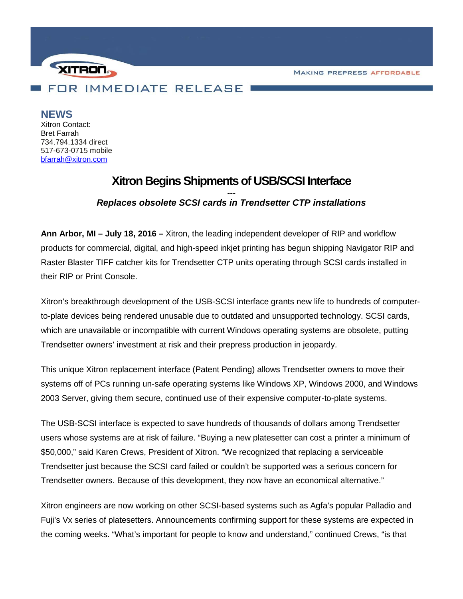**MAKING PREPRESS AFFORDABLE** 



**NEWS**

Xitron Contact: Bret Farrah 734.794.1334 direct 517-673-0715 mobile [bfarrah@xitron.com](mailto:bfarrah@xitron.com)

## **Xitron Begins Shipments of USB/SCSI Interface**

## *--- Replaces obsolete SCSI cards in Trendsetter CTP installations*

**Ann Arbor, MI – July 18, 2016 –** Xitron, the leading independent developer of RIP and workflow products for commercial, digital, and high-speed inkjet printing has begun shipping Navigator RIP and Raster Blaster TIFF catcher kits for Trendsetter CTP units operating through SCSI cards installed in their RIP or Print Console.

Xitron's breakthrough development of the USB-SCSI interface grants new life to hundreds of computerto-plate devices being rendered unusable due to outdated and unsupported technology. SCSI cards, which are unavailable or incompatible with current Windows operating systems are obsolete, putting Trendsetter owners' investment at risk and their prepress production in jeopardy.

This unique Xitron replacement interface (Patent Pending) allows Trendsetter owners to move their systems off of PCs running un-safe operating systems like Windows XP, Windows 2000, and Windows 2003 Server, giving them secure, continued use of their expensive computer-to-plate systems.

The USB-SCSI interface is expected to save hundreds of thousands of dollars among Trendsetter users whose systems are at risk of failure. "Buying a new platesetter can cost a printer a minimum of \$50,000," said Karen Crews, President of Xitron. "We recognized that replacing a serviceable Trendsetter just because the SCSI card failed or couldn't be supported was a serious concern for Trendsetter owners. Because of this development, they now have an economical alternative."

Xitron engineers are now working on other SCSI-based systems such as Agfa's popular Palladio and Fuji's Vx series of platesetters. Announcements confirming support for these systems are expected in the coming weeks. "What's important for people to know and understand," continued Crews, "is that